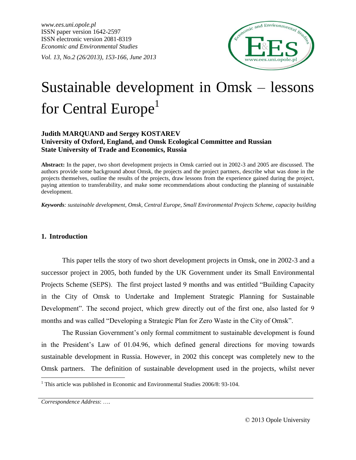*www.ees.uni.opole.pl* ISSN paper version 1642-2597 ISSN electronic version 2081-8319 *Economic and Environmental Studies*

*Vol. 13, No.2 (26/2013), 153-166, June 2013*



# Sustainable development in Omsk – lessons for Central Europe<sup>1</sup>

# **Judith MARQUAND and Sergey KOSTAREV University of Oxford, England, and Omsk Ecological Committee and Russian State University of Trade and Economics, Russia**

**Abstract:** In the paper, two short development projects in Omsk carried out in 2002-3 and 2005 are discussed. The authors provide some background about Omsk, the projects and the project partners, describe what was done in the projects themselves, outline the results of the projects, draw lessons from the experience gained during the project, paying attention to transferability, and make some recommendations about conducting the planning of sustainable development.

*Keywords: sustainable development, Omsk, Central Europe, Small Environmental Projects Scheme, capacity building*

# **1. Introduction**

This paper tells the story of two short development projects in Omsk, one in 2002-3 and a successor project in 2005, both funded by the UK Government under its Small Environmental Projects Scheme (SEPS). The first project lasted 9 months and was entitled "Building Capacity in the City of Omsk to Undertake and Implement Strategic Planning for Sustainable Development". The second project, which grew directly out of the first one, also lasted for 9 months and was called "Developing a Strategic Plan for Zero Waste in the City of Omsk".

The Russian Government's only formal commitment to sustainable development is found in the President's Law of 01.04.96, which defined general directions for moving towards sustainable development in Russia. However, in 2002 this concept was completely new to the Omsk partners. The definition of sustainable development used in the projects, whilst never

 $\overline{a}$ 

 $1$  This article was published in Economic and Environmental Studies 2006/8: 93-104.

*Correspondence Address*: ….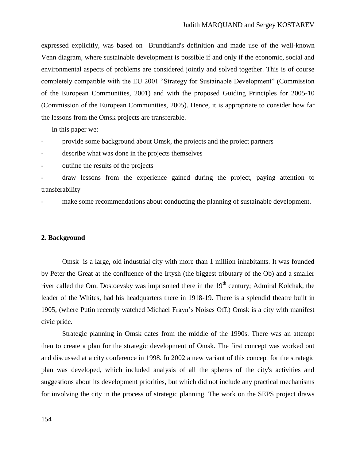expressed explicitly, was based on Brundtland's definition and made use of the well-known Venn diagram, where sustainable development is possible if and only if the economic, social and environmental aspects of problems are considered jointly and solved together. This is of course completely compatible with the EU 2001 "Strategy for Sustainable Development" (Commission of the European Communities, 2001) and with the proposed Guiding Principles for 2005-10 (Commission of the European Communities, 2005). Hence, it is appropriate to consider how far the lessons from the Omsk projects are transferable.

In this paper we:

provide some background about Omsk, the projects and the project partners

describe what was done in the projects themselves

outline the results of the projects

draw lessons from the experience gained during the project, paying attention to transferability

make some recommendations about conducting the planning of sustainable development.

#### **2. Background**

Omsk is a large, old industrial city with more than 1 million inhabitants. It was founded by Peter the Great at the confluence of the Irtysh (the biggest tributary of the Ob) and a smaller river called the Om. Dostoevsky was imprisoned there in the  $19<sup>th</sup>$  century; Admiral Kolchak, the leader of the Whites, had his headquarters there in 1918-19. There is a splendid theatre built in 1905, (where Putin recently watched Michael Frayn's Noises Off.) Omsk is a city with manifest civic pride.

Strategic planning in Omsk dates from the middle of the 1990s. There was an attempt then to create a plan for the strategic development of Omsk. The first concept was worked out and discussed at a city conference in 1998. In 2002 a new variant of this concept for the strategic plan was developed, which included analysis of all the spheres of the city's activities and suggestions about its development priorities, but which did not include any practical mechanisms for involving the city in the process of strategic planning. The work on the SEPS project draws

154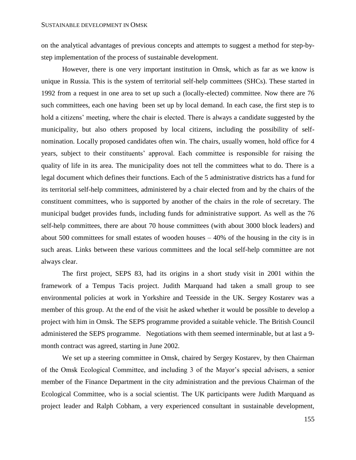on the analytical advantages of previous concepts and attempts to suggest a method for step-bystep implementation of the process of sustainable development.

However, there is one very important institution in Omsk, which as far as we know is unique in Russia. This is the system of territorial self-help committees (SHCs). These started in 1992 from a request in one area to set up such a (locally-elected) committee. Now there are 76 such committees, each one having been set up by local demand. In each case, the first step is to hold a citizens' meeting, where the chair is elected. There is always a candidate suggested by the municipality, but also others proposed by local citizens, including the possibility of selfnomination. Locally proposed candidates often win. The chairs, usually women, hold office for 4 years, subject to their constituents' approval. Each committee is responsible for raising the quality of life in its area. The municipality does not tell the committees what to do. There is a legal document which defines their functions. Each of the 5 administrative districts has a fund for its territorial self-help committees, administered by a chair elected from and by the chairs of the constituent committees, who is supported by another of the chairs in the role of secretary. The municipal budget provides funds, including funds for administrative support. As well as the 76 self-help committees, there are about 70 house committees (with about 3000 block leaders) and about 500 committees for small estates of wooden houses – 40% of the housing in the city is in such areas. Links between these various committees and the local self-help committee are not always clear.

The first project, SEPS 83, had its origins in a short study visit in 2001 within the framework of a Tempus Tacis project. Judith Marquand had taken a small group to see environmental policies at work in Yorkshire and Teesside in the UK. Sergey Kostarev was a member of this group. At the end of the visit he asked whether it would be possible to develop a project with him in Omsk. The SEPS programme provided a suitable vehicle. The British Council administered the SEPS programme. Negotiations with them seemed interminable, but at last a 9 month contract was agreed, starting in June 2002.

We set up a steering committee in Omsk, chaired by Sergey Kostarev, by then Chairman of the Omsk Ecological Committee, and including 3 of the Mayor's special advisers, a senior member of the Finance Department in the city administration and the previous Chairman of the Ecological Committee, who is a social scientist. The UK participants were Judith Marquand as project leader and Ralph Cobham, a very experienced consultant in sustainable development,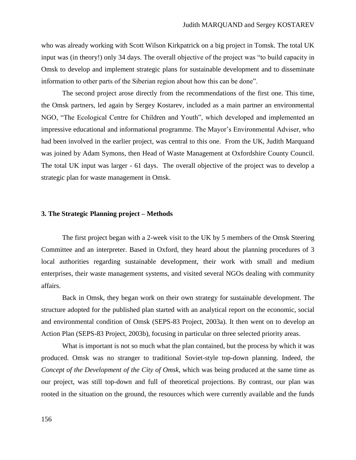who was already working with Scott Wilson Kirkpatrick on a big project in Tomsk. The total UK input was (in theory!) only 34 days. The overall objective of the project was "to build capacity in Omsk to develop and implement strategic plans for sustainable development and to disseminate information to other parts of the Siberian region about how this can be done".

The second project arose directly from the recommendations of the first one. This time, the Omsk partners, led again by Sergey Kostarev, included as a main partner an environmental NGO, "The Ecological Centre for Children and Youth", which developed and implemented an impressive educational and informational programme. The Mayor's Environmental Adviser, who had been involved in the earlier project, was central to this one. From the UK, Judith Marquand was joined by Adam Symons, then Head of Waste Management at Oxfordshire County Council. The total UK input was larger - 61 days. The overall objective of the project was to develop a strategic plan for waste management in Omsk.

#### **3. The Strategic Planning project – Methods**

The first project began with a 2-week visit to the UK by 5 members of the Omsk Steering Committee and an interpreter. Based in Oxford, they heard about the planning procedures of 3 local authorities regarding sustainable development, their work with small and medium enterprises, their waste management systems, and visited several NGOs dealing with community affairs.

Back in Omsk, they began work on their own strategy for sustainable development. The structure adopted for the published plan started with an analytical report on the economic, social and environmental condition of Omsk (SEPS-83 Project, 2003a). It then went on to develop an Action Plan (SEPS-83 Project, 2003b), focusing in particular on three selected priority areas.

What is important is not so much what the plan contained, but the process by which it was produced. Omsk was no stranger to traditional Soviet-style top-down planning. Indeed, the *Concept of the Development of the City of Omsk*, which was being produced at the same time as our project, was still top-down and full of theoretical projections. By contrast, our plan was rooted in the situation on the ground, the resources which were currently available and the funds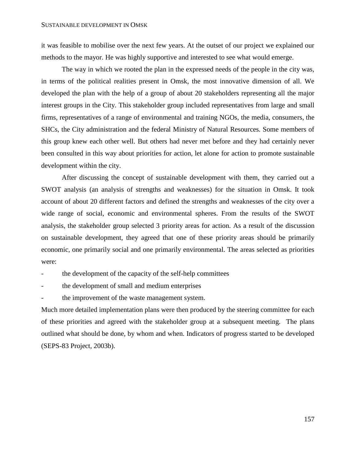it was feasible to mobilise over the next few years. At the outset of our project we explained our methods to the mayor. He was highly supportive and interested to see what would emerge.

The way in which we rooted the plan in the expressed needs of the people in the city was, in terms of the political realities present in Omsk, the most innovative dimension of all. We developed the plan with the help of a group of about 20 stakeholders representing all the major interest groups in the City. This stakeholder group included representatives from large and small firms, representatives of a range of environmental and training NGOs, the media, consumers, the SHCs, the City administration and the federal Ministry of Natural Resources. Some members of this group knew each other well. But others had never met before and they had certainly never been consulted in this way about priorities for action, let alone for action to promote sustainable development within the city.

After discussing the concept of sustainable development with them, they carried out a SWOT analysis (an analysis of strengths and weaknesses) for the situation in Omsk. It took account of about 20 different factors and defined the strengths and weaknesses of the city over a wide range of social, economic and environmental spheres. From the results of the SWOT analysis, the stakeholder group selected 3 priority areas for action. As a result of the discussion on sustainable development, they agreed that one of these priority areas should be primarily economic, one primarily social and one primarily environmental. The areas selected as priorities were:

- the development of the capacity of the self-help committees
- the development of small and medium enterprises
- the improvement of the waste management system.

Much more detailed implementation plans were then produced by the steering committee for each of these priorities and agreed with the stakeholder group at a subsequent meeting. The plans outlined what should be done, by whom and when. Indicators of progress started to be developed (SEPS-83 Project, 2003b).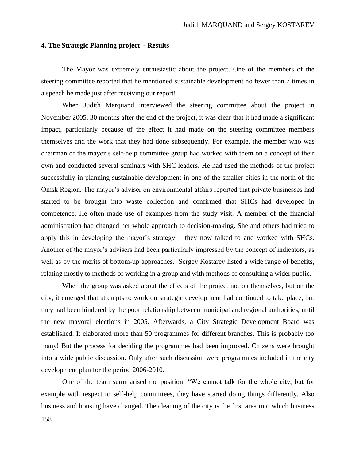# **4. The Strategic Planning project - Results**

The Mayor was extremely enthusiastic about the project. One of the members of the steering committee reported that he mentioned sustainable development no fewer than 7 times in a speech he made just after receiving our report!

When Judith Marquand interviewed the steering committee about the project in November 2005, 30 months after the end of the project, it was clear that it had made a significant impact, particularly because of the effect it had made on the steering committee members themselves and the work that they had done subsequently. For example, the member who was chairman of the mayor's self-help committee group had worked with them on a concept of their own and conducted several seminars with SHC leaders. He had used the methods of the project successfully in planning sustainable development in one of the smaller cities in the north of the Omsk Region. The mayor's adviser on environmental affairs reported that private businesses had started to be brought into waste collection and confirmed that SHCs had developed in competence. He often made use of examples from the study visit. A member of the financial administration had changed her whole approach to decision-making. She and others had tried to apply this in developing the mayor's strategy – they now talked to and worked with SHCs. Another of the mayor's advisers had been particularly impressed by the concept of indicators, as well as by the merits of bottom-up approaches. Sergey Kostarev listed a wide range of benefits, relating mostly to methods of working in a group and with methods of consulting a wider public.

When the group was asked about the effects of the project not on themselves, but on the city, it emerged that attempts to work on strategic development had continued to take place, but they had been hindered by the poor relationship between municipal and regional authorities, until the new mayoral elections in 2005. Afterwards, a City Strategic Development Board was established. It elaborated more than 50 programmes for different branches. This is probably too many! But the process for deciding the programmes had been improved. Citizens were brought into a wide public discussion. Only after such discussion were programmes included in the city development plan for the period 2006-2010.

One of the team summarised the position: "We cannot talk for the whole city, but for example with respect to self-help committees, they have started doing things differently. Also business and housing have changed. The cleaning of the city is the first area into which business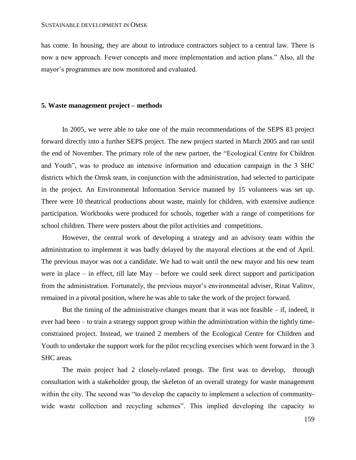has come. In housing, they are about to introduce contractors subject to a central law. There is now a new approach. Fewer concepts and more implementation and action plans." Also, all the mayor's programmes are now monitored and evaluated.

# **5. Waste management project – methods**

In 2005, we were able to take one of the main recommendations of the SEPS 83 project forward directly into a further SEPS project. The new project started in March 2005 and ran until the end of November. The primary role of the new partner, the "Ecological Centre for Children and Youth", was to produce an intensive information and education campaign in the 3 SHC districts which the Omsk team, in conjunction with the administration, had selected to participate in the project. An Environmental Information Service manned by 15 volunteers was set up. There were 10 theatrical productions about waste, mainly for children, with extensive audience participation. Workbooks were produced for schools, together with a range of competitions for school children. There were posters about the pilot activities and competitions.

However, the central work of developing a strategy and an advisory team within the administration to implement it was badly delayed by the mayoral elections at the end of April. The previous mayor was not a candidate. We had to wait until the new mayor and his new team were in place – in effect, till late May – before we could seek direct support and participation from the administration. Fortunately, the previous mayor's environmental adviser, Rinat Valitov, remained in a pivotal position, where he was able to take the work of the project forward.

But the timing of the administrative changes meant that it was not feasible  $-$  if, indeed, it ever had been – to train a strategy support group within the administration within the tightly timeconstrained project. Instead, we trained 2 members of the Ecological Centre for Children and Youth to undertake the support work for the pilot recycling exercises which went forward in the 3 SHC areas.

The main project had 2 closely-related prongs. The first was to develop, through consultation with a stakeholder group, the skeleton of an overall strategy for waste management within the city. The second was "to develop the capacity to implement a selection of communitywide waste collection and recycling schemes". This implied developing the capacity to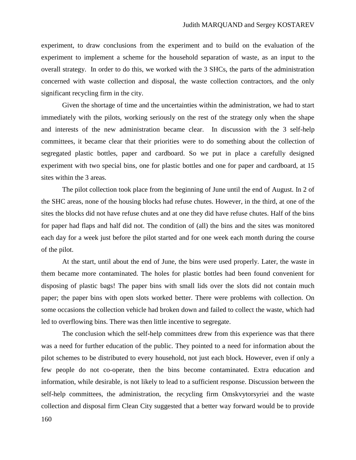experiment, to draw conclusions from the experiment and to build on the evaluation of the experiment to implement a scheme for the household separation of waste, as an input to the overall strategy. In order to do this, we worked with the 3 SHCs, the parts of the administration concerned with waste collection and disposal, the waste collection contractors, and the only significant recycling firm in the city.

Given the shortage of time and the uncertainties within the administration, we had to start immediately with the pilots, working seriously on the rest of the strategy only when the shape and interests of the new administration became clear. In discussion with the 3 self-help committees, it became clear that their priorities were to do something about the collection of segregated plastic bottles, paper and cardboard. So we put in place a carefully designed experiment with two special bins, one for plastic bottles and one for paper and cardboard, at 15 sites within the 3 areas.

The pilot collection took place from the beginning of June until the end of August. In 2 of the SHC areas, none of the housing blocks had refuse chutes. However, in the third, at one of the sites the blocks did not have refuse chutes and at one they did have refuse chutes. Half of the bins for paper had flaps and half did not. The condition of (all) the bins and the sites was monitored each day for a week just before the pilot started and for one week each month during the course of the pilot.

At the start, until about the end of June, the bins were used properly. Later, the waste in them became more contaminated. The holes for plastic bottles had been found convenient for disposing of plastic bags! The paper bins with small lids over the slots did not contain much paper; the paper bins with open slots worked better. There were problems with collection. On some occasions the collection vehicle had broken down and failed to collect the waste, which had led to overflowing bins. There was then little incentive to segregate.

The conclusion which the self-help committees drew from this experience was that there was a need for further education of the public. They pointed to a need for information about the pilot schemes to be distributed to every household, not just each block. However, even if only a few people do not co-operate, then the bins become contaminated. Extra education and information, while desirable, is not likely to lead to a sufficient response. Discussion between the self-help committees, the administration, the recycling firm Omskvytorsyriei and the waste collection and disposal firm Clean City suggested that a better way forward would be to provide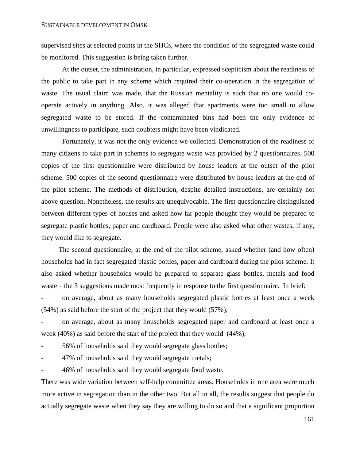supervised sites at selected points in the SHCs, where the condition of the segregated waste could be monitored. This suggestion is being taken further.

At the outset, the administration, in particular, expressed scepticism about the readiness of the public to take part in any scheme which required their co-operation in the segregation of waste. The usual claim was made, that the Russian mentality is such that no one would cooperate actively in anything. Also, it was alleged that apartments were too small to allow segregated waste to be stored. If the contaminated bins had been the only evidence of unwillingness to participate, such doubters might have been vindicated.

Fortunately, it was not the only evidence we collected. Demonstration of the readiness of many citizens to take part in schemes to segregate waste was provided by 2 questionnaires. 500 copies of the first questionnaire were distributed by house leaders at the outset of the pilot scheme. 500 copies of the second questionnaire were distributed by house leaders at the end of the pilot scheme. The methods of distribution, despite detailed instructions, are certainly not above question. Nonetheless, the results are unequivocable. The first questionnaire distinguished between different types of houses and asked how far people thought they would be prepared to segregate plastic bottles, paper and cardboard. People were also asked what other wastes, if any, they would like to segregate.

The second questionnaire, at the end of the pilot scheme, asked whether (and how often) households had in fact segregated plastic bottles, paper and cardboard during the pilot scheme. It also asked whether households would be prepared to separate glass bottles, metals and food waste – the 3 suggestions made most frequently in response to the first questionnaire. In brief:

- on average, about as many households segregated plastic bottles at least once a week (54%) as said before the start of the project that they would (57%);

- on average, about as many households segregated paper and cardboard at least once a week (40%) as said before the start of the project that they would (44%);

- 56% of households said they would segregate glass bottles;

- 47% of households said they would segregate metals;

- 46% of households said they would segregate food waste.

There was wide variation between self-help committee areas. Households in one area were much more active in segregation than in the other two. But all in all, the results suggest that people do actually segregate waste when they say they are willing to do so and that a significant proportion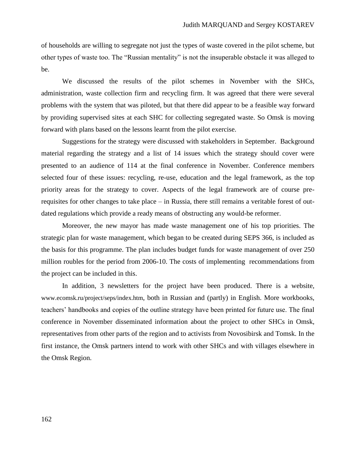of households are willing to segregate not just the types of waste covered in the pilot scheme, but other types of waste too. The "Russian mentality" is not the insuperable obstacle it was alleged to be.

We discussed the results of the pilot schemes in November with the SHCs, administration, waste collection firm and recycling firm. It was agreed that there were several problems with the system that was piloted, but that there did appear to be a feasible way forward by providing supervised sites at each SHC for collecting segregated waste. So Omsk is moving forward with plans based on the lessons learnt from the pilot exercise.

Suggestions for the strategy were discussed with stakeholders in September. Background material regarding the strategy and a list of 14 issues which the strategy should cover were presented to an audience of 114 at the final conference in November. Conference members selected four of these issues: recycling, re-use, education and the legal framework, as the top priority areas for the strategy to cover. Aspects of the legal framework are of course prerequisites for other changes to take place – in Russia, there still remains a veritable forest of outdated regulations which provide a ready means of obstructing any would-be reformer.

Moreover, the new mayor has made waste management one of his top priorities. The strategic plan for waste management, which began to be created during SEPS 366, is included as the basis for this programme. The plan includes budget funds for waste management of over 250 million roubles for the period from 2006-10. The costs of implementing recommendations from the project can be included in this.

In addition, 3 newsletters for the project have been produced. There is a website, www.ecomsk.ru/project/seps/index.htm, both in Russian and (partly) in English. More workbooks, teachers' handbooks and copies of the outline strategy have been printed for future use. The final conference in November disseminated information about the project to other SHCs in Omsk, representatives from other parts of the region and to activists from Novosibirsk and Tomsk. In the first instance, the Omsk partners intend to work with other SHCs and with villages elsewhere in the Omsk Region.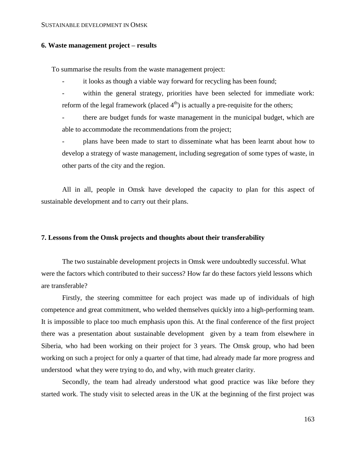#### **6. Waste management project – results**

To summarise the results from the waste management project:

it looks as though a viable way forward for recycling has been found;

within the general strategy, priorities have been selected for immediate work: reform of the legal framework (placed  $4<sup>th</sup>$ ) is actually a pre-requisite for the others;

there are budget funds for waste management in the municipal budget, which are able to accommodate the recommendations from the project;

plans have been made to start to disseminate what has been learnt about how to develop a strategy of waste management, including segregation of some types of waste, in other parts of the city and the region.

All in all, people in Omsk have developed the capacity to plan for this aspect of sustainable development and to carry out their plans.

#### **7. Lessons from the Omsk projects and thoughts about their transferability**

The two sustainable development projects in Omsk were undoubtedly successful. What were the factors which contributed to their success? How far do these factors yield lessons which are transferable?

Firstly, the steering committee for each project was made up of individuals of high competence and great commitment, who welded themselves quickly into a high-performing team. It is impossible to place too much emphasis upon this. At the final conference of the first project there was a presentation about sustainable development given by a team from elsewhere in Siberia, who had been working on their project for 3 years. The Omsk group, who had been working on such a project for only a quarter of that time, had already made far more progress and understood what they were trying to do, and why, with much greater clarity.

Secondly, the team had already understood what good practice was like before they started work. The study visit to selected areas in the UK at the beginning of the first project was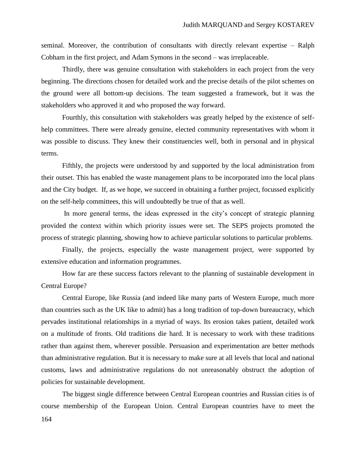seminal. Moreover, the contribution of consultants with directly relevant expertise – Ralph Cobham in the first project, and Adam Symons in the second – was irreplaceable.

Thirdly, there was genuine consultation with stakeholders in each project from the very beginning. The directions chosen for detailed work and the precise details of the pilot schemes on the ground were all bottom-up decisions. The team suggested a framework, but it was the stakeholders who approved it and who proposed the way forward.

Fourthly, this consultation with stakeholders was greatly helped by the existence of selfhelp committees. There were already genuine, elected community representatives with whom it was possible to discuss. They knew their constituencies well, both in personal and in physical terms.

Fifthly, the projects were understood by and supported by the local administration from their outset. This has enabled the waste management plans to be incorporated into the local plans and the City budget. If, as we hope, we succeed in obtaining a further project, focussed explicitly on the self-help committees, this will undoubtedly be true of that as well.

In more general terms, the ideas expressed in the city's concept of strategic planning provided the context within which priority issues were set. The SEPS projects promoted the process of strategic planning, showing how to achieve particular solutions to particular problems.

Finally, the projects, especially the waste management project, were supported by extensive education and information programmes.

How far are these success factors relevant to the planning of sustainable development in Central Europe?

Central Europe, like Russia (and indeed like many parts of Western Europe, much more than countries such as the UK like to admit) has a long tradition of top-down bureaucracy, which pervades institutional relationships in a myriad of ways. Its erosion takes patient, detailed work on a multitude of fronts. Old traditions die hard. It is necessary to work with these traditions rather than against them, wherever possible. Persuasion and experimentation are better methods than administrative regulation. But it is necessary to make sure at all levels that local and national customs, laws and administrative regulations do not unreasonably obstruct the adoption of policies for sustainable development.

164 The biggest single difference between Central European countries and Russian cities is of course membership of the European Union. Central European countries have to meet the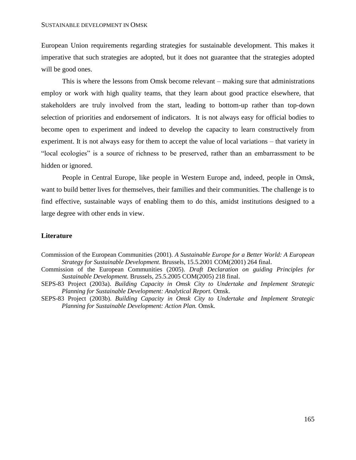European Union requirements regarding strategies for sustainable development. This makes it imperative that such strategies are adopted, but it does not guarantee that the strategies adopted will be good ones.

This is where the lessons from Omsk become relevant – making sure that administrations employ or work with high quality teams, that they learn about good practice elsewhere, that stakeholders are truly involved from the start, leading to bottom-up rather than top-down selection of priorities and endorsement of indicators. It is not always easy for official bodies to become open to experiment and indeed to develop the capacity to learn constructively from experiment. It is not always easy for them to accept the value of local variations – that variety in "local ecologies" is a source of richness to be preserved, rather than an embarrassment to be hidden or ignored.

People in Central Europe, like people in Western Europe and, indeed, people in Omsk, want to build better lives for themselves, their families and their communities. The challenge is to find effective, sustainable ways of enabling them to do this, amidst institutions designed to a large degree with other ends in view.

#### **Literature**

- Commission of the European Communities (2001). *A Sustainable Europe for a Better World: A European Strategy for Sustainable Development.* Brussels, 15.5.2001 COM(2001) 264 final.
- Commission of the European Communities (2005). *Draft Declaration on guiding Principles for Sustainable Development.* Brussels, 25.5.2005 COM(2005) 218 final.
- SEPS-83 Project (2003a). *Building Capacity in Omsk City to Undertake and Implement Strategic Planning for Sustainable Development: Analytical Report.* Omsk.
- SEPS-83 Project (2003b). *Building Capacity in Omsk City to Undertake and Implement Strategic Planning for Sustainable Development: Action Plan.* Omsk.